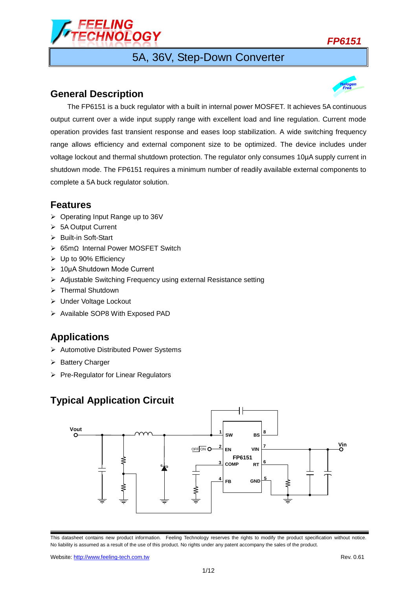

# 5A, 36V, Step-Down Converter

### **General Description**



### **Features**

- $\triangleright$  Operating Input Range up to 36V
- > 5A Output Current
- ▶ Built-in Soft-Start
- 65mΩ Internal Power MOSFET Switch
- Up to 90% Efficiency
- 10μA Shutdown Mode Current
- Adjustable Switching Frequency using external Resistance setting
- > Thermal Shutdown
- Under Voltage Lockout
- $\triangleright$  Available SOP8 With Exposed PAD

## **Applications**

- Automotive Distributed Power Systems
- $\triangleright$  Battery Charger
- $\triangleright$  Pre-Regulator for Linear Regulators

## **Typical Application Circuit**



This datasheet contains new product information. Feeling Technology reserves the rights to modify the product specification without notice. No liability is assumed as a result of the use of this product. No rights under any patent accompany the sales of the product.

Website: http://www.feeling-tech.com.tw **Rev. 0.61** News 0.61

*FP6151*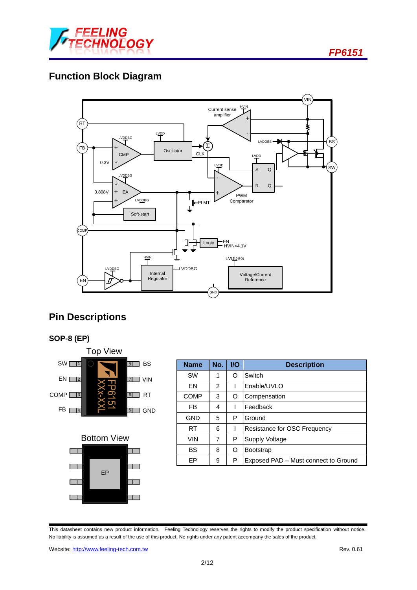

# **Function Block Diagram**



# **Pin Descriptions**





| $SW\Box$<br>BS<br> 8                                        | <b>Name</b> | No. | I/O | <b>Description</b>                   |
|-------------------------------------------------------------|-------------|-----|-----|--------------------------------------|
| $EN$ $2$<br><b>VIN</b><br>$\overline{7}$                    | <b>SW</b>   |     | O   | Switch                               |
|                                                             | EN          | 2   |     | lEnable/UVLO                         |
| <u>ര്</u><br>COMP <b>[</b><br><b>RT</b><br>$\sqrt{3}$<br> 6 | COMP        | 3   | O   | Compensation                         |
| S<br>FB I<br>$\vert 5 \vert$<br><b>GND</b><br> 4            | FB          | 4   |     | Feedback                             |
|                                                             | <b>GND</b>  | 5   | P   | Ground                               |
|                                                             | <b>RT</b>   | 6   |     | <b>Resistance for OSC Frequency</b>  |
| <b>Bottom View</b>                                          | <b>VIN</b>  | 7   | P   | Supply Voltage                       |
|                                                             | <b>BS</b>   | 8   | O   | Bootstrap                            |
|                                                             | EP          | 9   | P   | Exposed PAD - Must connect to Ground |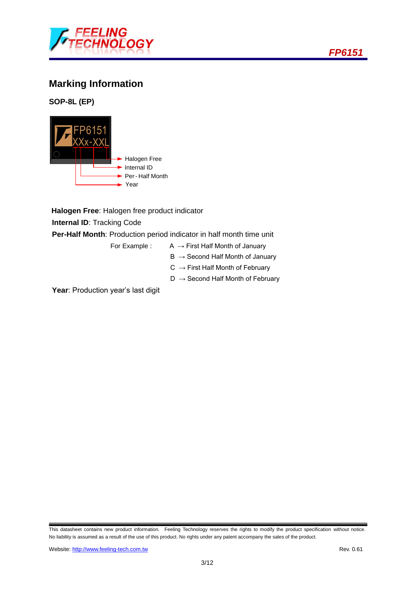

# **Marking Information**

**SOP-8L (EP)**



**Halogen Free**: Halogen free product indicator

**Internal ID**: Tracking Code

**Per-Half Month**: Production period indicator in half month time unit

- For Example :  $A \rightarrow$  First Half Month of January
	- $B \rightarrow$  Second Half Month of January
	- $C \rightarrow$  First Half Month of February
	- $D \rightarrow$  Second Half Month of February

Year: Production year's last digit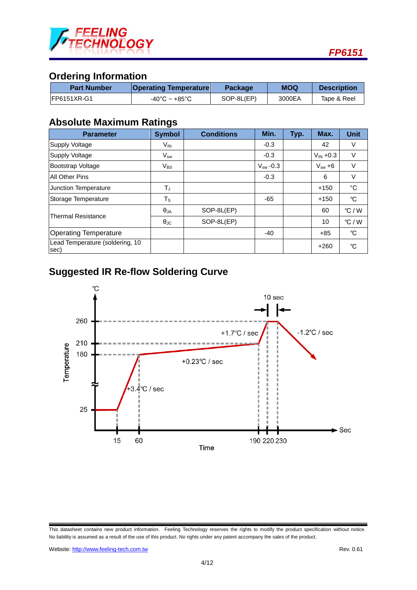

## **Ordering Information**

| <b>Part Number</b> | <b>Operating Temperature</b>      | <b>Package</b> | <b>MOQ</b> | <b>Description</b> |
|--------------------|-----------------------------------|----------------|------------|--------------------|
| IFP6151XR-G1       | $-40^{\circ}$ C ~ $+85^{\circ}$ C | SOP-8L(EP)     | 3000EA     | Tape & Reel        |

### **Absolute Maximum Ratings**

| <b>Parameter</b>                        | <b>Symbol</b>              | <b>Conditions</b> | Min.          | Typ. | Max.          | <b>Unit</b>  |
|-----------------------------------------|----------------------------|-------------------|---------------|------|---------------|--------------|
| Supply Voltage                          | V <sub>IN</sub>            |                   | $-0.3$        |      | 42            | V            |
| Supply Voltage                          | $\mathsf{V}_{\mathsf{sw}}$ |                   | $-0.3$        |      | $V_{IN} +0.3$ | V            |
| Bootstrap Voltage                       | $V_{BS}$                   |                   | $V_{sw}$ -0.3 |      | $V_{sw} + 6$  | V            |
| <b>All Other Pins</b>                   |                            |                   | $-0.3$        |      | 6             | V            |
| Junction Temperature                    | Tյ                         |                   |               |      | $+150$        | $^{\circ}$ C |
| Storage Temperature                     | $T_{\tt S}$                |                   | -65           |      | $+150$        | °C           |
| <b>Thermal Resistance</b>               | $\theta_{JA}$              | SOP-8L(EP)        |               |      | 60            | °C/W         |
|                                         | $\theta_{\rm JC}$          | SOP-8L(EP)        |               |      | 10            | °C/W         |
| <b>Operating Temperature</b>            |                            |                   | $-40$         |      | +85           | °C           |
| Lead Temperature (soldering, 10<br>sec) |                            |                   |               |      | $+260$        | °C           |

# **Suggested IR Re-flow Soldering Curve**



This datasheet contains new product information. Feeling Technology reserves the rights to modify the product specification without notice. No liability is assumed as a result of the use of this product. No rights under any patent accompany the sales of the product.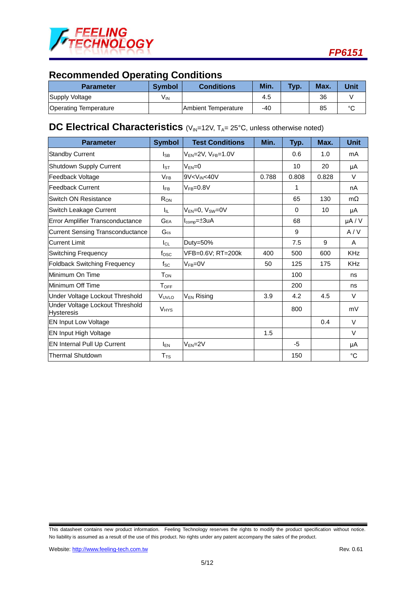

# **Recommended Operating Conditions**

| <b>Parameter</b>             | <b>Symbol</b>   | <b>Conditions</b>           | Min. | Typ. | Max. | Unit   |
|------------------------------|-----------------|-----------------------------|------|------|------|--------|
| Supply Voltage               | V <sub>IN</sub> |                             | 4.5  |      | 36   |        |
| <b>Operating Temperature</b> |                 | <b>IAmbient Temperature</b> | -40  |      | 85   | $\sim$ |

## **DC** Electrical Characteristics (V<sub>IN</sub>=12V, T<sub>A</sub>= 25°C, unless otherwise noted)

| <b>Parameter</b>                                     | <b>Symbol</b>          | <b>Test Conditions</b>                                                                             | Min.  | Typ.     | Max.  | <b>Unit</b> |
|------------------------------------------------------|------------------------|----------------------------------------------------------------------------------------------------|-------|----------|-------|-------------|
| <b>Standby Current</b>                               | <sub>ISB</sub>         | $V_{EN}$ =2V, $V_{FB}$ =1.0V                                                                       |       | 0.6      | 1.0   | mA          |
| Shutdown Supply Current                              | Isт                    | $V_{FN}=0$                                                                                         |       | 10       | 20    | μA          |
| Feedback Voltage                                     | $V_{FB}$               | 9V <vin<40v< td=""><td>0.788</td><td>0.808</td><td>0.828</td><td><math>\vee</math></td></vin<40v<> | 0.788 | 0.808    | 0.828 | $\vee$      |
| <b>Feedback Current</b>                              | <b>IFB</b>             | $V_{FB}=0.8V$                                                                                      |       | 1        |       | nA          |
| Switch ON Resistance                                 | $R_{ON}$               |                                                                                                    |       | 65       | 130   | $m\Omega$   |
| Switch Leakage Current                               | Ιıμ.                   | $V_{FN}=0$ , $V_{SW}=0V$                                                                           |       | $\Omega$ | 10    | μA          |
| Error Amplifier Transconductance                     | <b>GEA</b>             | $I_{\text{comp}} = \pm 3uA$                                                                        |       | 68       |       | $\mu A / V$ |
| <b>Current Sensing Transconductance</b>              | $G_{\text{cs}}$        |                                                                                                    |       | 9        |       | A/V         |
| <b>Current Limit</b>                                 | $I_{CL}$               | Duty=50%                                                                                           |       | 7.5      | 9     | A           |
| Switching Frequency                                  | fosc                   | VFB=0.6V; RT=200k                                                                                  | 400   | 500      | 600   | <b>KHz</b>  |
| <b>Foldback Switching Frequency</b>                  | $f_{SC}$               | $V_{FB} = 0V$                                                                                      | 50    | 125      | 175   | <b>KHz</b>  |
| Minimum On Time                                      | $T_{ON}$               |                                                                                                    |       | 100      |       | ns          |
| Minimum Off Time                                     | $T_{\text{OFF}}$       |                                                                                                    |       | 200      |       | ns          |
| Under Voltage Lockout Threshold                      | VUVLO                  | V <sub>EN</sub> Rising                                                                             | 3.9   | 4.2      | 4.5   | V           |
| Under Voltage Lockout Threshold<br><b>Hysteresis</b> | <b>V<sub>HYS</sub></b> |                                                                                                    |       | 800      |       | mV          |
| <b>EN Input Low Voltage</b>                          |                        |                                                                                                    |       |          | 0.4   | V           |
| <b>EN Input High Voltage</b>                         |                        |                                                                                                    | 1.5   |          |       | V           |
| <b>EN Internal Pull Up Current</b>                   | $I_{EN}$               | $V_{EN} = 2V$                                                                                      |       | $-5$     |       | μA          |
| <b>Thermal Shutdown</b>                              | $T_{TS}$               |                                                                                                    |       | 150      |       | $^{\circ}C$ |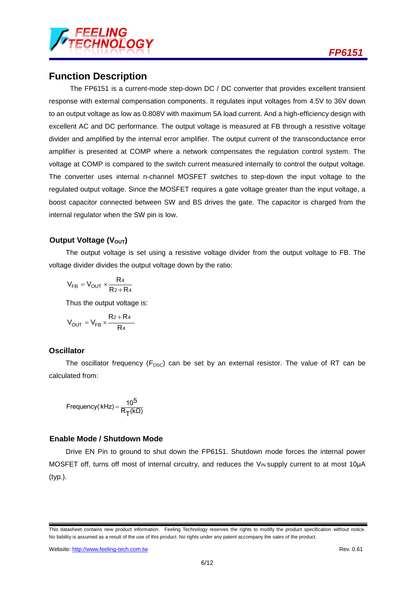

### **Function Description**

The FP6151 is a current-mode step-down DC / DC converter that provides excellent transient response with external compensation components. It regulates input voltages from 4.5V to 36V down to an output voltage as low as 0.808V with maximum 5A load current. And a high-efficiency design with excellent AC and DC performance. The output voltage is measured at FB through a resistive voltage divider and amplified by the internal error amplifier. The output current of the transconductance error amplifier is presented at COMP where a network compensates the regulation control system. The voltage at COMP is compared to the switch current measured internally to control the output voltage. The converter uses internal n-channel MOSFET switches to step-down the input voltage to the regulated output voltage. Since the MOSFET requires a gate voltage greater than the input voltage, a boost capacitor connected between SW and BS drives the gate. The capacitor is charged from the internal regulator when the SW pin is low.

#### **Output Voltage (V<sub>OUT</sub>)**

The output voltage is set using a resistive voltage divider from the output voltage to FB. The voltage divider divides the output voltage down by the ratio:

$$
V_{FB}=V_{OUT}\times\frac{R_4}{R_2+R_4}
$$

Thus the output voltage is:

$$
V_{OUT}=V_{FB}\times\frac{R_2+R_4}{R_4}
$$

#### **Oscillator**

The oscillator frequency ( $F_{\text{OSC}}$ ) can be set by an external resistor. The value of RT can be calculated from:

$$
Frequency(kHz) = \frac{10^5}{R_T(k\Omega)}
$$

#### **Enable Mode / Shutdown Mode**

Drive EN Pin to ground to shut down the FP6151. Shutdown mode forces the internal power MOSFET off, turns off most of internal circuitry, and reduces the V<sub>IN</sub> supply current to at most 10µA (typ.).

This datasheet contains new product information. Feeling Technology reserves the rights to modify the product specification without notice. No liability is assumed as a result of the use of this product. No rights under any patent accompany the sales of the product.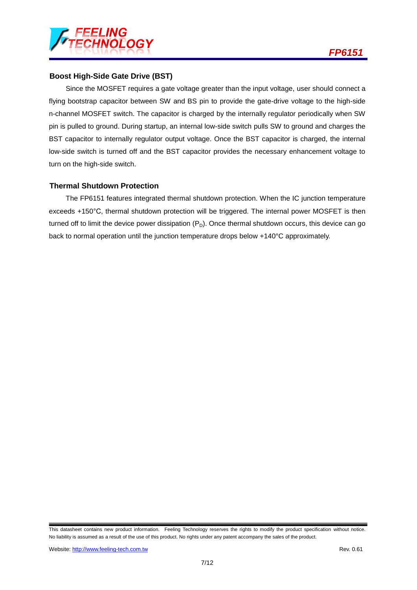

#### **Boost High-Side Gate Drive (BST)**

Since the MOSFET requires a gate voltage greater than the input voltage, user should connect a flying bootstrap capacitor between SW and BS pin to provide the gate-drive voltage to the high-side n-channel MOSFET switch. The capacitor is charged by the internally regulator periodically when SW pin is pulled to ground. During startup, an internal low-side switch pulls SW to ground and charges the BST capacitor to internally regulator output voltage. Once the BST capacitor is charged, the internal low-side switch is turned off and the BST capacitor provides the necessary enhancement voltage to turn on the high-side switch.

#### **Thermal Shutdown Protection**

The FP6151 features integrated thermal shutdown protection. When the IC junction temperature exceeds +150°C, thermal shutdown protection will be triggered. The internal power MOSFET is then turned off to limit the device power dissipation  $(P_D)$ . Once thermal shutdown occurs, this device can go back to normal operation until the junction temperature drops below +140°C approximately.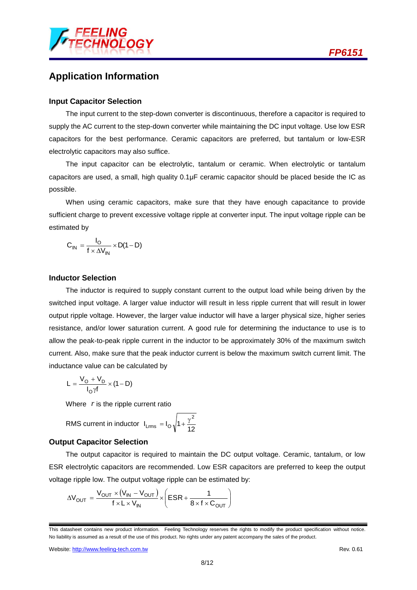

### **Application Information**

#### **Input Capacitor Selection**

The input current to the step-down converter is discontinuous, therefore a capacitor is required to supply the AC current to the step-down converter while maintaining the DC input voltage. Use low ESR capacitors for the best performance. Ceramic capacitors are preferred, but tantalum or low-ESR electrolytic capacitors may also suffice.

The input capacitor can be electrolytic, tantalum or ceramic. When electrolytic or tantalum capacitors are used, a small, high quality 0.1μF ceramic capacitor should be placed beside the IC as possible.

When using ceramic capacitors, make sure that they have enough capacitance to provide sufficient charge to prevent excessive voltage ripple at converter input. The input voltage ripple can be estimated by

$$
C_{IN} = \frac{I_O}{f \times \Delta V_{IN}} \times D(1-D)
$$

#### **Inductor Selection**

The inductor is required to supply constant current to the output load while being driven by the switched input voltage. A larger value inductor will result in less ripple current that will result in lower output ripple voltage. However, the larger value inductor will have a larger physical size, higher series resistance, and/or lower saturation current. A good rule for determining the inductance to use is to allow the peak-to-peak ripple current in the inductor to be approximately 30% of the maximum switch current. Also, make sure that the peak inductor current is below the maximum switch current limit. The inductance value can be calculated by

$$
L = \frac{V_O + V_D}{I_O \gamma f} \times (1 - D)
$$

Where *r* is the ripple current ratio

RMS current in inductor 
$$
I_{Lms} = I_0 \sqrt{1 + \frac{\gamma^2}{12}}
$$

#### **Output Capacitor Selection**

The output capacitor is required to maintain the DC output voltage. Ceramic, tantalum, or low ESR electrolytic capacitors are recommended. Low ESR capacitors are preferred to keep the output voltage ripple low. The output voltage ripple can be estimated by:

$$
\Delta V_{OUT} = \frac{V_{OUT} \times (V_{IN} - V_{OUT})}{f \times L \times V_{IN}} \times \left(ESR + \frac{1}{8 \times f \times C_{OUT}}\right)
$$

This datasheet contains new product information. Feeling Technology reserves the rights to modify the product specification without notice. No liability is assumed as a result of the use of this product. No rights under any patent accompany the sales of the product.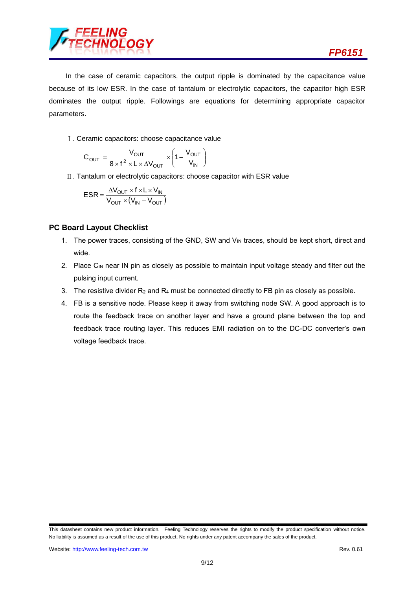

In the case of ceramic capacitors, the output ripple is dominated by the capacitance value because of its low ESR. In the case of tantalum or electrolytic capacitors, the capacitor high ESR dominates the output ripple. Followings are equations for determining appropriate capacitor parameters.

Ⅰ. Ceramic capacitors: choose capacitance value

$$
C_{OUT} = \frac{V_{OUT}}{8 \times f^2 \times L \times \Delta V_{OUT}} \times \left(1 - \frac{V_{OUT}}{V_{IN}}\right)
$$

Ⅱ. Tantalum or electrolytic capacitors: choose capacitor with ESR value

$$
ESR = \frac{\Delta V_{OUT} \times f \times L \times V_{IN}}{V_{OUT} \times (V_{IN} - V_{OUT})}
$$

#### **PC Board Layout Checklist**

- 1. The power traces, consisting of the GND, SW and V<sub>IN</sub> traces, should be kept short, direct and wide.
- 2. Place  $C_{\text{IN}}$  near IN pin as closely as possible to maintain input voltage steady and filter out the pulsing input current.
- 3. The resistive divider  $R_2$  and  $R_4$  must be connected directly to FB pin as closely as possible.
- 4. FB is a sensitive node. Please keep it away from switching node SW. A good approach is to route the feedback trace on another layer and have a ground plane between the top and feedback trace routing layer. This reduces EMI radiation on to the DC-DC converter's own voltage feedback trace.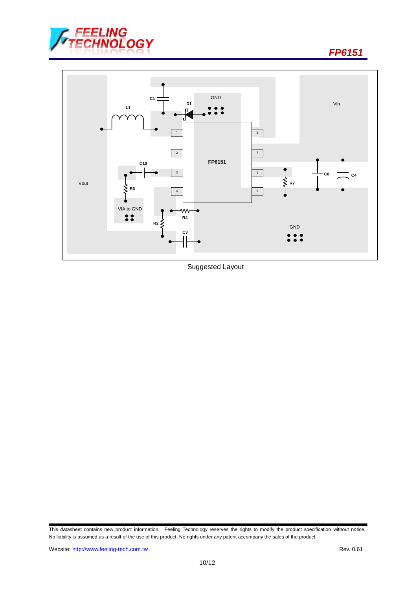



Suggested Layout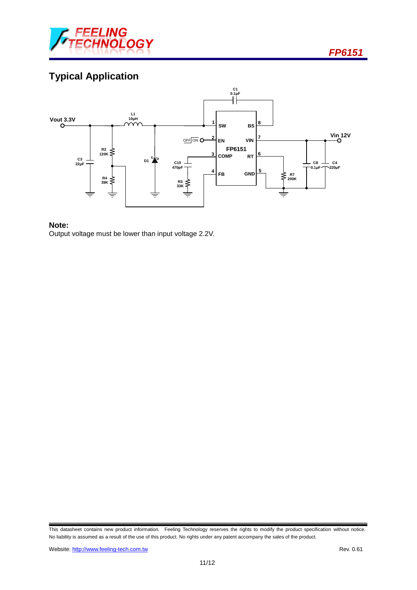

# **Typical Application**



#### **Note:**

Output voltage must be lower than input voltage 2.2V.